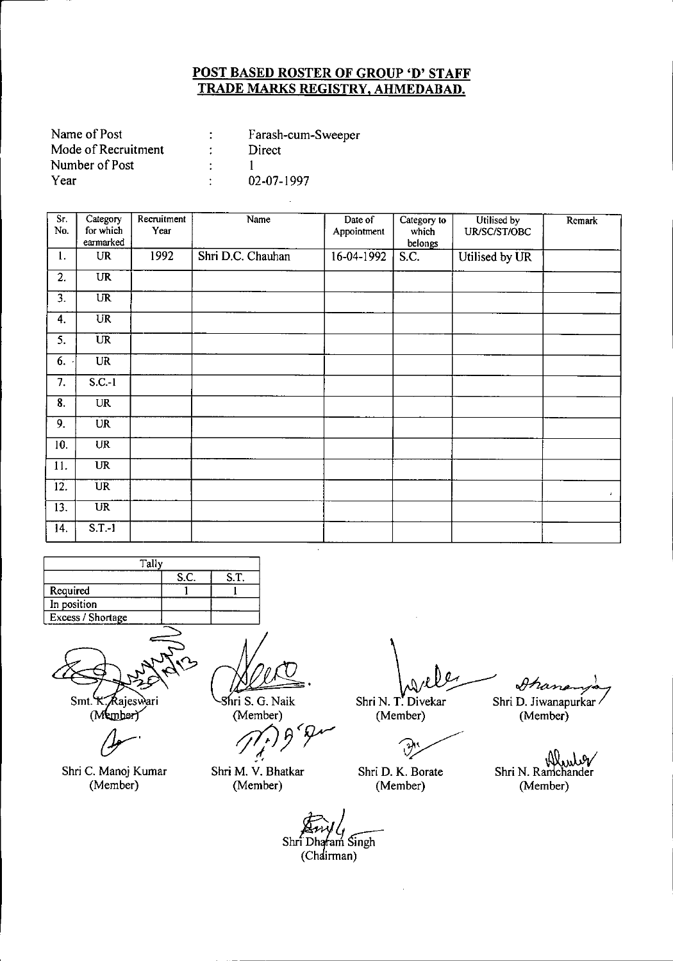| Farash-cum-Sweeper |
|--------------------|
| Direct             |
|                    |
| 02-07-1997         |
|                    |

| Sr.<br>No.       | Category<br>for which<br>earmarked | Recruitment<br>Year | Name              | Date of<br>Appointment | Category to<br>which<br>belongs | Utilised by<br>UR/SC/ST/OBC | Remark                      |
|------------------|------------------------------------|---------------------|-------------------|------------------------|---------------------------------|-----------------------------|-----------------------------|
| 1.               | <b>UR</b>                          | 1992                | Shri D.C. Chauhan | 16-04-1992             | S.C.                            | Utilised by UR              |                             |
| 2.               | <b>UR</b>                          |                     |                   |                        |                                 |                             |                             |
| $\overline{3}$ . | $\overline{\text{UR}}$             |                     |                   |                        |                                 |                             |                             |
| 4.               | $\overline{\text{UR}}$             |                     |                   |                        |                                 |                             |                             |
| 5.               | <b>UR</b>                          |                     |                   |                        |                                 |                             |                             |
| 6.               | UR                                 |                     |                   |                        |                                 |                             |                             |
| 7.               | $S.C.-1$                           |                     |                   |                        |                                 |                             |                             |
| 8.               | <b>UR</b>                          |                     |                   |                        |                                 |                             |                             |
| 9.               | <b>UR</b>                          |                     |                   |                        |                                 |                             |                             |
| 10.              | <b>UR</b>                          |                     |                   |                        |                                 |                             |                             |
| 11.              | <b>UR</b>                          |                     |                   |                        |                                 |                             |                             |
| 12.              | <b>UR</b>                          |                     |                   |                        |                                 |                             | $\mathcal{L}_{\mathcal{L}}$ |
| 13.              | $\overline{\text{UR}}$             |                     |                   |                        |                                 |                             |                             |
| 14.              | $S.T.-I$                           |                     |                   |                        |                                 |                             |                             |



 $Smt$ .

Rajeswari (Member)

*(Jr'*

Shri C. Manoj Kumar (Member)

ILL, 8hri S. G. Naik

(Member)

*'l7)J3<r* .' Shri M. V. Bhatkar

(Member)

barley on

(Member) (Member)

Shri D. K. Borate (Member)

Shri N. T. Divekar Shri D. Jiwanapurkar<br>(Member) (Member)

Shri N. Ramchander (Member)

Shri<sup>†</sup> Dharam Singh

(Chairman)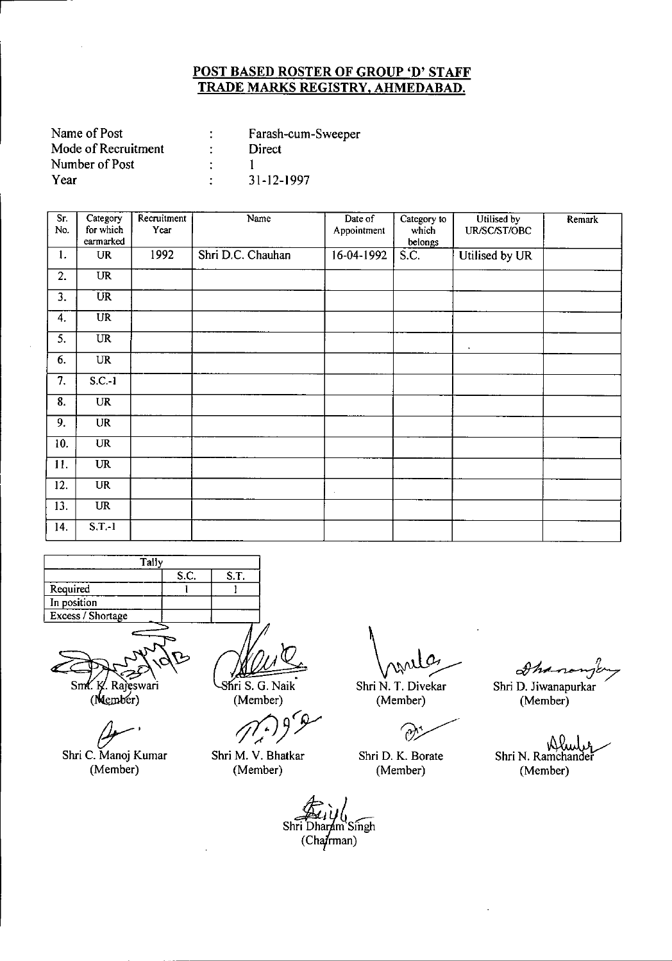| Name of Post        | Farash-cum-Sweeper |
|---------------------|--------------------|
| Mode of Recruitment | Direct             |
| Number of Post      |                    |
| Year                | 31-12-1997         |

| Sг.<br>No. | Category<br>for which  | Recruitment<br>Year | Name              | Date of<br>Appointment | Category to<br>which | Utilised by<br>UR/SC/ST/OBC | Remark |
|------------|------------------------|---------------------|-------------------|------------------------|----------------------|-----------------------------|--------|
|            | earmarked              |                     |                   |                        | belongs              |                             |        |
| 1.         | <b>UR</b>              | 1992                | Shri D.C. Chauhan | 16-04-1992             | S.C.                 | Utilised by UR              |        |
| 2.         | <b>UR</b>              |                     |                   |                        |                      |                             |        |
| 3.         | <b>UR</b>              |                     |                   |                        |                      |                             |        |
| 4.         | $\overline{UR}$        |                     |                   |                        |                      |                             |        |
| 5.         | $\overline{\text{UR}}$ |                     |                   |                        |                      | $\bullet$                   |        |
| 6.         | <b>UR</b>              |                     |                   |                        |                      |                             |        |
| 7.         | $S.C.-1$               |                     |                   |                        |                      |                             |        |
| 8.         | <b>UR</b>              |                     |                   |                        |                      |                             |        |
| 9.         | <b>UR</b>              |                     |                   |                        |                      |                             |        |
| 10.        | <b>UR</b>              |                     |                   |                        |                      |                             |        |
| 11.        | <b>UR</b>              |                     |                   |                        |                      |                             |        |
| 12.        | UR                     |                     |                   | $\sim$                 |                      |                             |        |
| 13.        | <b>UR</b>              |                     |                   |                        |                      |                             |        |
| 14.        | $S.T.-1$               |                     |                   |                        |                      |                             |        |



Sm. K. Rajeswari (Member)

 $4$ 

Shri C. Manoj Kumar (Member)

Shri S. G. Naik (Member)

*rf(J)'y*

Shri M. V. Bhatkar (Member)

O  $\Delta$ 

Shri N. T. Divekar (Member)

 $\gamma$ 

Shri D. K. Borate (Member)

 $\mathscr{D}\mathscr{M}$ 

Shri D. Jiwanapurkar (Member)

Alub Shri N. Ramchandei (Member)

Shri Dharam Singh  $(Cha$ <sup>t</sup>rman)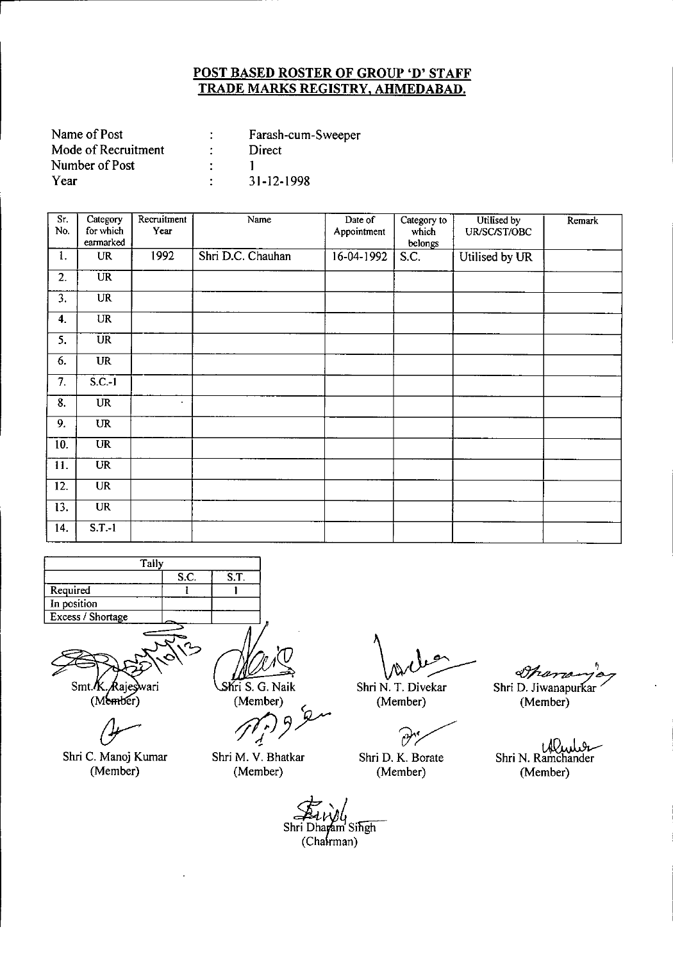| Name of Post        | Farash-cum-Sweeper |
|---------------------|--------------------|
| Mode of Recruitment | Direct             |
| Number of Post      |                    |
| Year                | 31-12-1998         |

--------------------------------\_ .. ----

| Sr.<br>No. | Category<br>for which<br>earmarked | Recruitment<br>Year | Name              | Date of<br>Appointment | Category to<br>which<br>belongs | Utilised by<br>UR/SC/ST/OBC | Remark |
|------------|------------------------------------|---------------------|-------------------|------------------------|---------------------------------|-----------------------------|--------|
| 1.         | <b>UR</b>                          | 1992                | Shri D.C. Chauhan | $16-04-1992$           | S.C.                            | Utilised by UR              |        |
| 2.         | <b>UR</b>                          |                     |                   |                        |                                 |                             |        |
| 3.         | $\overline{\text{UR}}$             |                     |                   |                        |                                 |                             |        |
| 4.         | <b>UR</b>                          |                     |                   |                        |                                 |                             |        |
| 5.         | <b>UR</b>                          |                     |                   |                        |                                 |                             |        |
| 6.         | <b>UR</b>                          |                     |                   |                        |                                 |                             |        |
| 7.         | $S.C.-1$                           |                     |                   |                        |                                 |                             |        |
| 8.         | UR                                 | $\blacksquare$      |                   |                        |                                 |                             |        |
| 9.         | <b>UR</b>                          |                     |                   |                        |                                 |                             |        |
| 10.        | $\overline{\text{UR}}$             |                     |                   |                        |                                 |                             |        |
| 11.        | $\overline{\text{UR}}$             |                     |                   |                        |                                 |                             |        |
| 12.        | <b>UR</b>                          |                     |                   |                        |                                 |                             |        |
| 13.        | <b>UR</b>                          |                     |                   |                        |                                 |                             |        |
| 14.        | $S.T.-1$                           |                     |                   |                        |                                 |                             |        |





Shri C. Manoj Kumar (Member)

Shri S. G. Naik

(Member) (

*1'7P)Y*

Shri M. V. Bhatkar (Member)

Shri N. T. Divekar<br>Shri N. T. Divekar

(Member)

 $\widehat{\partial}^{\prime}$ 

Shri D. K. Borate (Member)

, Dram Shri D. Jiwanapurkar

(Member)

Wude Shri N. Ramchander (Member)

Shri Dharam Singh  $(Cha$ frman)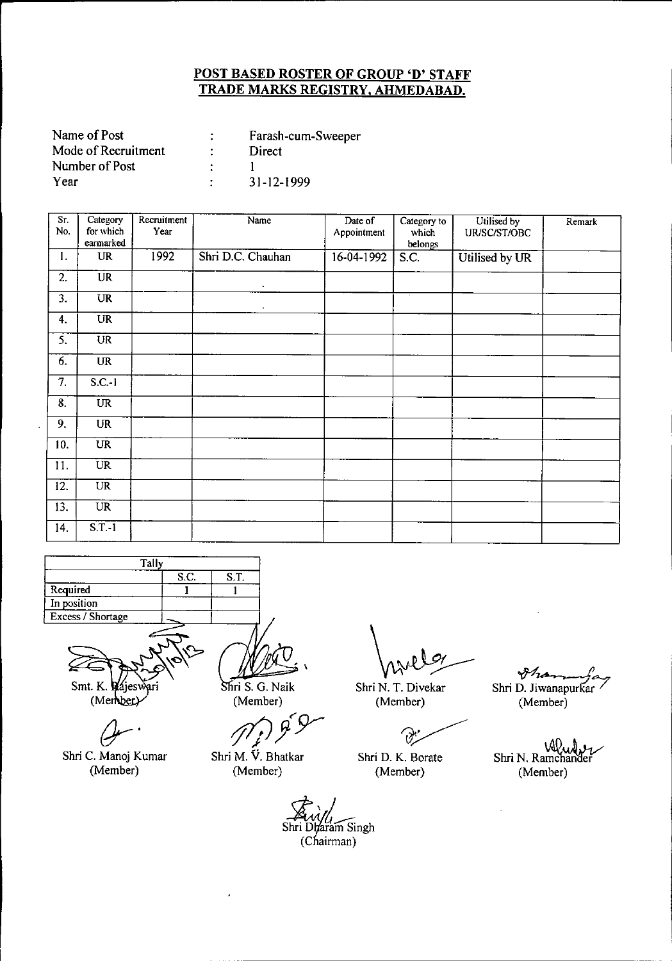| Name of Post        | Farash-cum-Sweeper |
|---------------------|--------------------|
| Mode of Recruitment | Direct             |
| Number of Post      |                    |
| Year                | $31 - 12 - 1999$   |

| Sr.<br>No.       | Category<br>for which<br>earmarked | Recruitment<br>Year | Name              | Date of<br>Appointment | Category to<br>which<br>belongs | Utilised by<br>UR/SC/ST/OBC | Remark |
|------------------|------------------------------------|---------------------|-------------------|------------------------|---------------------------------|-----------------------------|--------|
| 1.               | <b>UR</b>                          | 1992                | Shri D.C. Chauhan | 16-04-1992             | S.C.                            | Utilised by UR              |        |
| 2.               | $\overline{UR}$                    |                     | $\bullet$         |                        |                                 |                             |        |
| $\overline{3}$ . | <b>UR</b>                          |                     | $\epsilon$        |                        |                                 |                             |        |
| 4.               | $\overline{UR}$                    |                     |                   |                        |                                 |                             |        |
| 5.               | $\overline{\text{UR}}$             |                     |                   |                        |                                 |                             |        |
| 6.               | <b>UR</b>                          |                     |                   |                        |                                 |                             |        |
| 7.               | $S.C.-1$                           |                     |                   |                        |                                 |                             |        |
| 8.               | <b>UR</b>                          |                     |                   |                        |                                 |                             |        |
| $\overline{9}$ . | <b>UR</b>                          |                     |                   |                        |                                 |                             |        |
| 10.              | <b>UR</b>                          |                     |                   |                        |                                 |                             |        |
| 11.              | <b>UR</b>                          |                     |                   |                        |                                 |                             |        |
| 12.              | $\overline{UR}$                    |                     |                   |                        |                                 |                             |        |
| 13.              | UR                                 |                     |                   |                        |                                 |                             |        |
| 14.              | $S.T.-1$                           |                     |                   |                        |                                 |                             |        |



Smt. K. Kájesv ягі (Member)

*(Jr'*

Shri C. Manoj Kumar (Member)

Shri S. G. Naik (Member)

*rf7/JY~Y*

Shri M. Y. Bhatkar (Member)

Shri Dharam Singh<br>(Chairman)

L\_\_ \_ \_

Shri N. T. Divekar (Member)

 $\partial$ 

Shri D. K. Borate (Member)

*~ fI* Shri D. Jiwanapurkar

(Member)

Shri N. Ramchande (Member)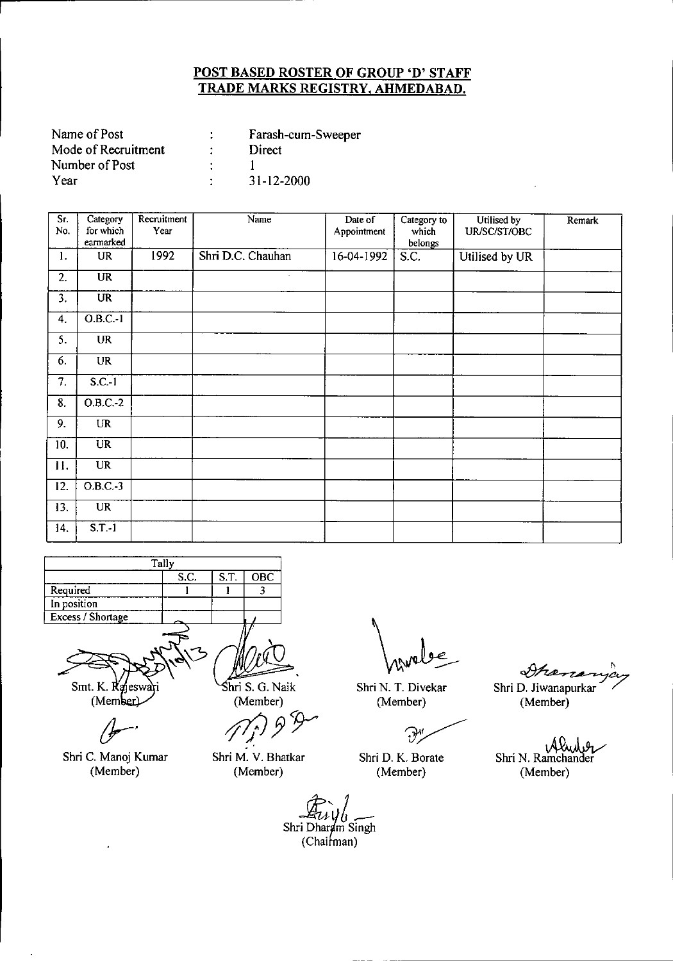| Name of Post        | Farash-cum-Sweeper |
|---------------------|--------------------|
| Mode of Recruitment | Direct             |
| Number of Post      |                    |
| Year                | 31-12-2000         |

| Sr.<br>No.                | Category<br>for which<br>earmarked | Recruitment<br>Year | Name              | Date of<br>Appointment | Category to<br>which<br>belongs | Utilised by<br>UR/SC/ST/OBC | Remark |
|---------------------------|------------------------------------|---------------------|-------------------|------------------------|---------------------------------|-----------------------------|--------|
| 1.                        | <b>UR</b>                          | 1992                | Shri D.C. Chauhan | 16-04-1992             | S.C.                            | Utilised by UR              |        |
| 2.                        | $\overline{\text{UR}}$             |                     | $\epsilon$        |                        |                                 |                             |        |
| $\overline{3}$ .          | $\overline{\text{UR}}$             |                     |                   |                        |                                 |                             |        |
| 4.                        | $O.B.C.-1$                         |                     |                   |                        |                                 |                             |        |
| $\overline{\mathsf{S}}$ . | $\overline{\text{UR}}$             |                     |                   |                        |                                 |                             |        |
| 6.                        | <b>UR</b>                          |                     |                   |                        |                                 |                             |        |
| $\overline{7}$ .          | $S.C.-1$                           |                     |                   |                        |                                 |                             |        |
| 8.                        | $O.B.C.-2$                         |                     |                   |                        |                                 |                             |        |
| 9.                        | <b>UR</b>                          |                     |                   |                        |                                 |                             |        |
| 10.                       | <b>UR</b>                          |                     |                   |                        |                                 |                             |        |
| 11.                       | <b>UR</b>                          |                     |                   |                        |                                 |                             |        |
| 12.                       | $O.B.C.-3$                         |                     |                   |                        |                                 |                             |        |
| 13.                       | <b>UR</b>                          |                     |                   |                        |                                 |                             |        |
| 14.                       | $S.T.-1$                           |                     |                   |                        |                                 |                             |        |



Smt. K. Rejeswari (Member)

Shri C. Manoj Kumar (Member)

 $\ddot{\phantom{a}}$ 

hri S. G. Naik (Member)

*pjJft~*

Shri M. V. Bhatkar (Member)

Shri N. T. Divekar (Member)

 $\mathcal{P}'$ 

Shri D. K. Borate (Member)

~O. Shri D. Jiwanapurkar

(Member)

isteri Shri N. Ramchander (Member)

 $\mathcal{L}_u$ <br>Shri Dharam Singh  $(Chairman)$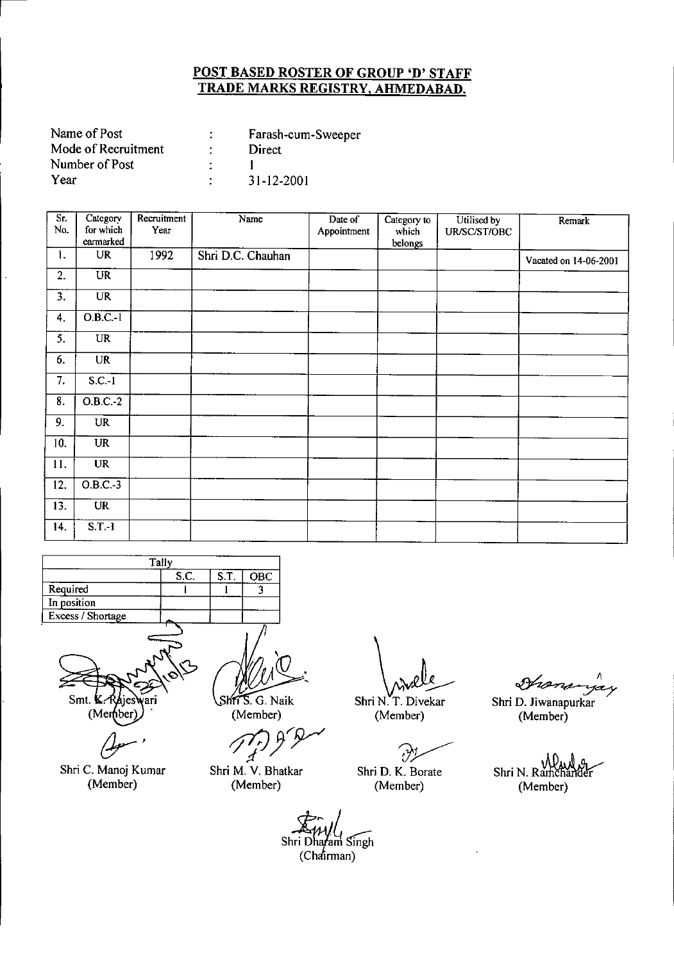| Name of Post        | Farash-cum-Sweeper |
|---------------------|--------------------|
| Mode of Recruitment | Direct             |
| Number of Post      |                    |
| Year                | 31-12-2001         |

| Sr.<br>No. | Category<br>for which<br>earmarked | Recruitment<br>Year | Name              | Date of<br>Appointment | Category to<br>which<br>belongs | Utilised by<br>UR/SC/ST/OBC | Remark                |
|------------|------------------------------------|---------------------|-------------------|------------------------|---------------------------------|-----------------------------|-----------------------|
| 1.         | <b>UR</b>                          | 1992                | Shri D.C. Chauhan |                        |                                 |                             | Vacated on 14-06-2001 |
| 2.         | <b>UR</b>                          |                     |                   |                        |                                 |                             |                       |
| 3.         | <b>UR</b>                          |                     |                   |                        |                                 |                             |                       |
| 4.         | $OBC-I$                            |                     |                   |                        |                                 |                             |                       |
| 5.         | <b>UR</b>                          |                     |                   |                        |                                 |                             |                       |
| 6.         | <b>UR</b>                          |                     |                   |                        |                                 |                             |                       |
| 7.         | $S.C.-1$                           |                     |                   |                        |                                 |                             |                       |
| 8.         | O.B.C.2                            |                     |                   |                        |                                 |                             |                       |
| 9.         | <b>UR</b>                          |                     |                   |                        |                                 |                             |                       |
| 10.        | $\ensuremath{\mathsf{UR}}\xspace$  |                     |                   |                        |                                 |                             |                       |
| 11.        | <b>UR</b>                          |                     |                   |                        |                                 |                             |                       |
| 12.        | $O.B.C.-3$                         |                     |                   |                        |                                 |                             |                       |
| 13.        | $\overline{\text{UR}}$             |                     |                   |                        |                                 |                             |                       |
| 14.        | $S.T.-1$                           |                     |                   |                        |                                 |                             |                       |

|                   | Tally |      |     |
|-------------------|-------|------|-----|
|                   | S.C.  | S.T. | OBC |
| Required          |       |      |     |
| In position       |       |      |     |
| Excess / Shortage |       |      |     |
|                   |       |      |     |

Smt. K  $($ Member

 $\overline{a}$ 

Shri C. Manoj Kumar (Member)

Shri S. G. Naik (Member)

Shri M. V. Bhatkar (Member)

 $\sqrt{2}$ 

Shri N.T. Divekar (Member)

'?~

Shri D. K. Borate (Member)

Hananyay

Shri D. Jiwanapurkar (Member)

Shri N. Ramchander (Member)

Shri Dharam Singh  $(Cháirman)$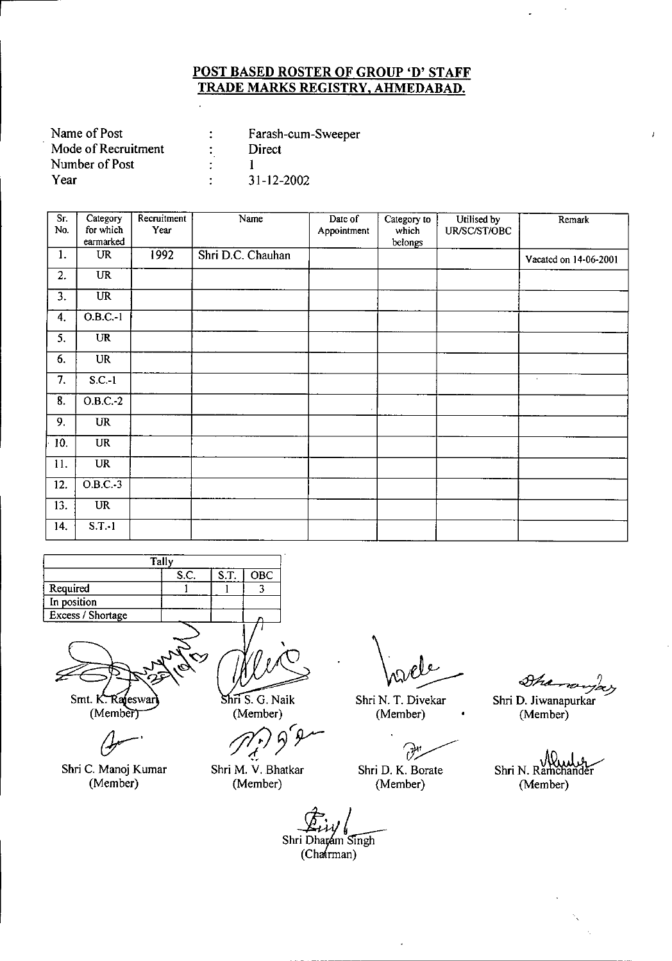| Name of Post        | Farash-cum-Sweeper |
|---------------------|--------------------|
| Mode of Recruitment | Direct             |
| Number of Post      |                    |
| Year                | 31-12-2002         |

| Sr.<br>No. | Category<br>for which | Recruitment<br>Year | Name              | Date of<br>Appointment | Category to<br>which | Utilised by<br>UR/SC/ST/OBC | Remark                |
|------------|-----------------------|---------------------|-------------------|------------------------|----------------------|-----------------------------|-----------------------|
|            | earmarked             |                     |                   |                        | belongs              |                             |                       |
| 1.         | <b>UR</b>             | 1992                | Shri D.C. Chauhan |                        |                      |                             | Vacated on 14-06-2001 |
| 2.         | <b>UR</b>             |                     |                   |                        |                      |                             |                       |
| 3.         | $\overline{UR}$       |                     |                   |                        |                      |                             |                       |
| 4.         | $O.B.C.-1$            |                     |                   |                        |                      |                             |                       |
| 5.         | UR                    |                     |                   |                        |                      |                             |                       |
| 6.         | <b>UR</b>             |                     |                   |                        |                      |                             |                       |
| 7.         | $S.C.-1$              |                     |                   |                        |                      |                             | $\sim$                |
| 8.         | $O.B.C.-2$            |                     |                   |                        |                      |                             |                       |
| 9.         | <b>UR</b>             |                     |                   |                        |                      |                             |                       |
| 10.        | <b>UR</b>             |                     |                   |                        |                      |                             |                       |
| 11.        | <b>UR</b>             |                     |                   |                        |                      |                             |                       |
| 12.        | $O.B.C.-3$            |                     |                   |                        |                      |                             |                       |
| 13.        | <b>UR</b>             |                     |                   |                        |                      |                             |                       |
| 14.        | $S.T.-1$              |                     |                   |                        |                      |                             |                       |

| Tally             |      |      |            |  |  |  |
|-------------------|------|------|------------|--|--|--|
|                   | S.C. | S.T. | <b>OBC</b> |  |  |  |
| Required          |      |      |            |  |  |  |
| In position       |      |      |            |  |  |  |
| Excess / Shortage |      |      |            |  |  |  |
|                   |      |      |            |  |  |  |



Shri C. Manoj Kumar (Member)

 $\overline{\text{Shri S. G. Naik}}$ (Member)

*tJ1P 3"Y-*

Shri M. V. Bhatkar (Member)

Shri N. T. Divekar (Member)

?'~.

Shri D. K. Borate (Member)

 $\mathcal{A}_{\mathcal{A}}$ rayay

 $\epsilon$ 

Shri D. Jiwanapurkar (Member)

Shri N. Ramchander (Member)

Shri Dharam Singh  $(Cha(rman)$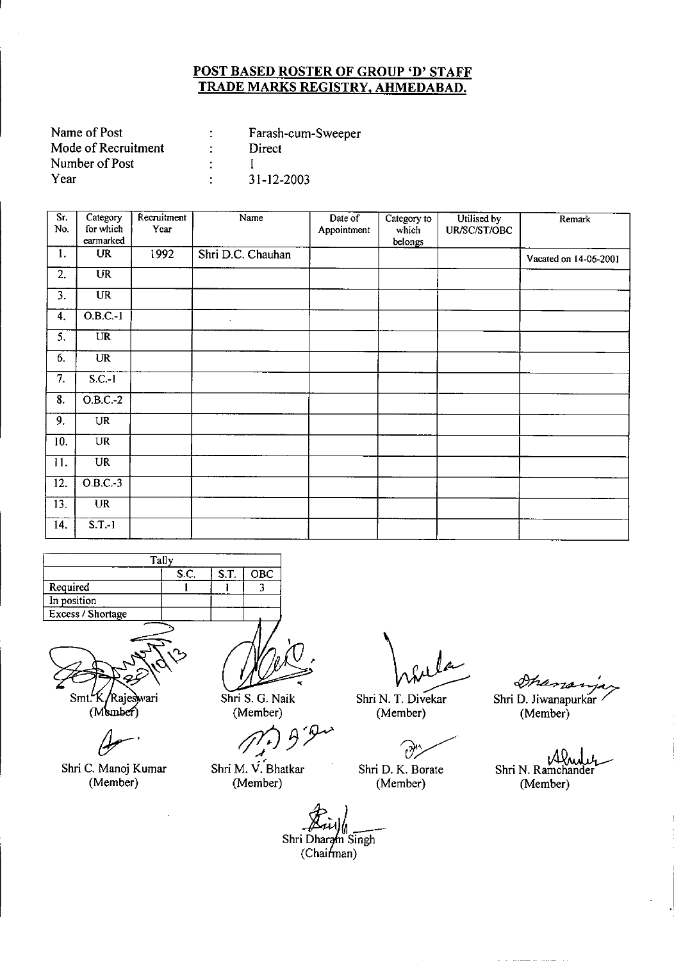| Name of Post        | Farash-cum-Sweeper |
|---------------------|--------------------|
| Mode of Recruitment | Direct             |
| Number of Post      |                    |
| Year                | $31 - 12 - 2003$   |

| Sr.<br>No.        | Category<br>for which<br>earmarked | Recruitment<br>Year | Name              | Date of<br>Appointment | Category to<br>which<br>belongs | Utilised by<br>UR/SC/ST/OBC | Remark                |
|-------------------|------------------------------------|---------------------|-------------------|------------------------|---------------------------------|-----------------------------|-----------------------|
| 1.                | UR                                 | 1992                | Shri D.C. Chauhan |                        |                                 |                             | Vacated on 14-06-2001 |
| 2.                | $\overline{UR}$                    |                     |                   |                        |                                 |                             |                       |
| 3.                | $\overline{UR}$                    |                     |                   |                        |                                 |                             |                       |
| 4.                | O.B.C.1                            |                     | $\epsilon$        |                        |                                 |                             |                       |
| 5.                | UR                                 |                     |                   |                        |                                 |                             |                       |
| 6.                | <b>UR</b>                          |                     |                   |                        |                                 |                             |                       |
| 7.                | $S.C.-1$                           |                     |                   |                        |                                 |                             |                       |
| 8.                | 0.B.C.2                            |                     |                   |                        |                                 |                             |                       |
| 9.                | UR                                 |                     |                   |                        |                                 |                             |                       |
| 10.               | <b>UR</b>                          |                     |                   |                        |                                 |                             |                       |
| 11.               | $\overline{\text{UR}}$             |                     |                   |                        |                                 |                             |                       |
| $\overline{12}$ . | $O.B.C.-3$                         |                     |                   |                        |                                 |                             |                       |
| 13.               | <b>UR</b>                          |                     |                   |                        |                                 |                             |                       |
| 14.               | $S.T.-1$                           |                     |                   |                        |                                 |                             |                       |

|                   | Tally |      |     |
|-------------------|-------|------|-----|
|                   | S.C.  | S.T. | OBC |
| Required          |       |      |     |
| In position       |       |      |     |
| Excess / Shortage |       |      |     |
|                   |       |      |     |



Shri C. Manoj Kumar (Member)

Shri S. G. Naik (Member)

*;f(J3Y* ., Shri M. V. Bhatkar

(Member)

 $h$  fula

Shri N. T. Divekar (Member)

 $\widehat{v}$ 

Shri D. K. Borate (Member)

Ihana Shri D. Jiwanapurkar

(Member)

ιŴ Shri N. Ramchander (Member)

Shri<br>Shri Dharam<br>Chairma ~-- - Singh

 $(Chain)$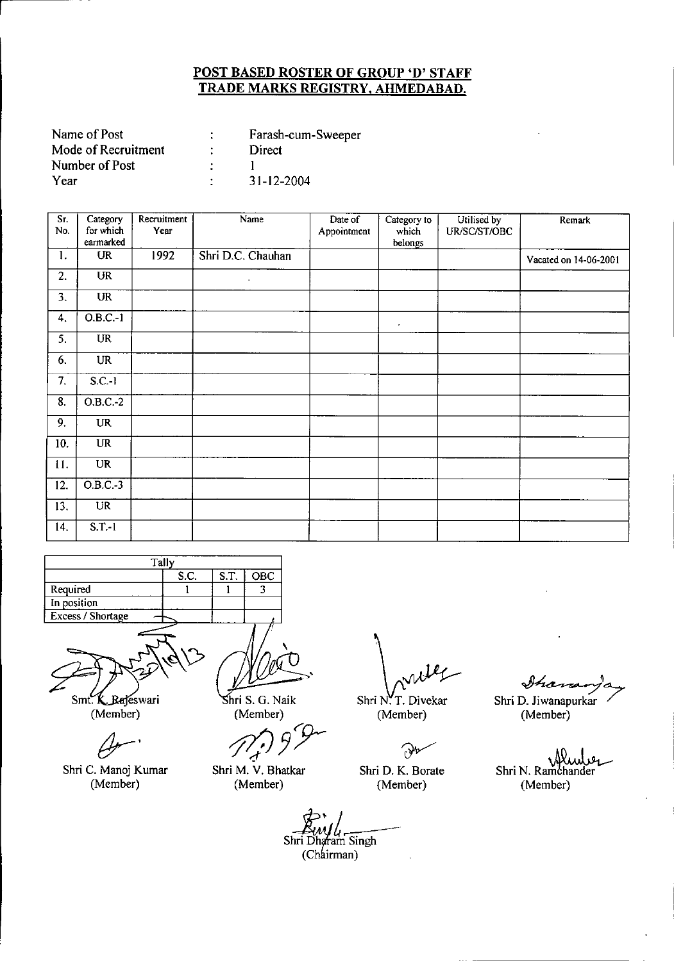| Name of Post        | Farash-cum-Sweeper |
|---------------------|--------------------|
| Mode of Recruitment | Direct             |
| Number of Post      |                    |
| Year                | 31-12-2004         |

| Sr.<br>No.       | Category<br>for which | Recruitment | Name              | Date of     | Category to      | Utilised by  | Remark                |
|------------------|-----------------------|-------------|-------------------|-------------|------------------|--------------|-----------------------|
|                  | earmarked             | Year        |                   | Appointment | which<br>belongs | UR/SC/ST/OBC |                       |
| 1.               | <b>UR</b>             | 1992        | Shri D.C. Chauhan |             |                  |              | Vacated on 14-06-2001 |
| 2.               | UR                    |             | $\epsilon$        |             |                  |              |                       |
| 3.               | <b>UR</b>             |             |                   |             |                  |              |                       |
| 4.               | $0.B.C.-1$            |             |                   |             | $\bullet$        |              |                       |
| 5.               | <b>UR</b>             |             |                   |             |                  |              |                       |
| 6.               | <b>UR</b>             |             |                   |             |                  |              |                       |
| 7.               | $S.C.-1$              |             |                   |             |                  |              |                       |
| $\overline{8}$ . | $O.B.C.-2$            |             |                   |             |                  |              |                       |
| 9.               | <b>UR</b>             |             |                   |             |                  |              |                       |
| 10.              | <b>UR</b>             |             |                   |             |                  |              |                       |
| 11.              | <b>UR</b>             |             |                   |             |                  |              |                       |
| 12.              | $O.B.C.-3$            |             |                   |             |                  |              |                       |
| 13.              | $\overline{UR}$       |             |                   |             |                  |              |                       |
| 14.              | $S.T.-1$              |             |                   |             |                  |              |                       |



Smt K. Rejeswari

(Member)

Shri C. Manoj Kumar (Member)

hri S. G. Naik (Member)

*ft;(J 3T*

Shri M. V. Bhatkar (Member)

 $\ell_{\ell}$ 

Shri N.T. Divekar (Member)

Ð

Shri D. K. Borate (Member)

<u>Ihana</u> Shri D. Jiwanapurkar

(Member)

عربالملاكي<br>Shri N. Ramchander (Member)

*~* (Ch irman)*J* **4 Aw / 4**<br>Shri Dharam Singh